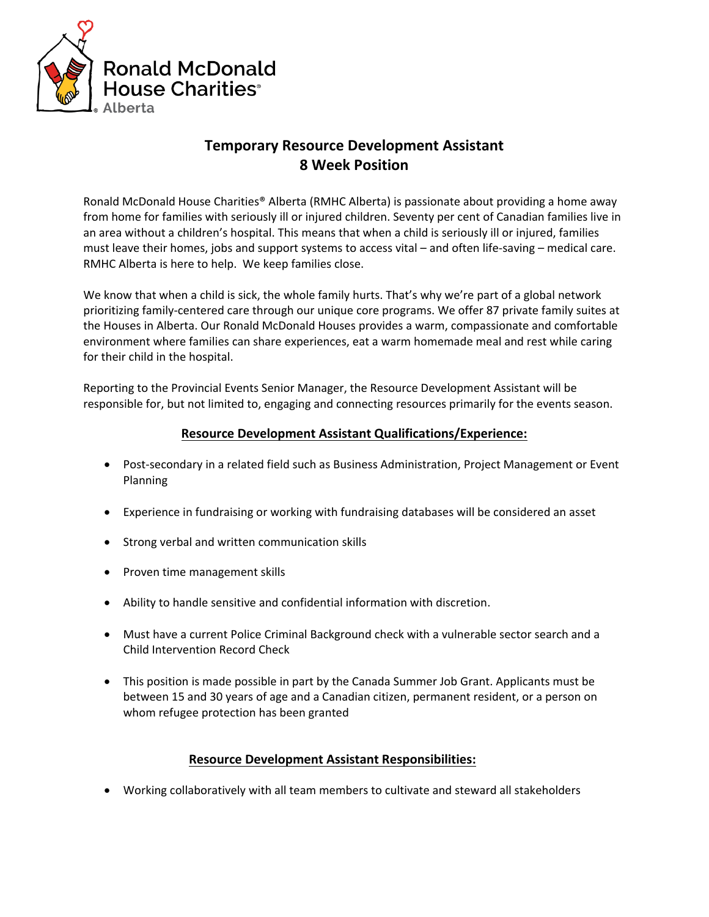

## **Temporary Resource Development Assistant 8 Week Position**

Ronald McDonald House Charities® Alberta (RMHC Alberta) is passionate about providing a home away from home for families with seriously ill or injured children. Seventy per cent of Canadian families live in an area without a children's hospital. This means that when a child is seriously ill or injured, families must leave their homes, jobs and support systems to access vital – and often life-saving – medical care. RMHC Alberta is here to help. We keep families close.

We know that when a child is sick, the whole family hurts. That's why we're part of a global network prioritizing family-centered care through our unique core programs. We offer 87 private family suites at the Houses in Alberta. Our Ronald McDonald Houses provides a warm, compassionate and comfortable environment where families can share experiences, eat a warm homemade meal and rest while caring for their child in the hospital.

Reporting to the Provincial Events Senior Manager, the Resource Development Assistant will be responsible for, but not limited to, engaging and connecting resources primarily for the events season.

## **Resource Development Assistant Qualifications/Experience:**

- Post-secondary in a related field such as Business Administration, Project Management or Event Planning
- Experience in fundraising or working with fundraising databases will be considered an asset
- Strong verbal and written communication skills
- Proven time management skills
- Ability to handle sensitive and confidential information with discretion.
- Must have a current Police Criminal Background check with a vulnerable sector search and a Child Intervention Record Check
- This position is made possible in part by the Canada Summer Job Grant. Applicants must be between 15 and 30 years of age and a Canadian citizen, permanent resident, or a person on whom refugee protection has been granted

## **Resource Development Assistant Responsibilities:**

• Working collaboratively with all team members to cultivate and steward all stakeholders